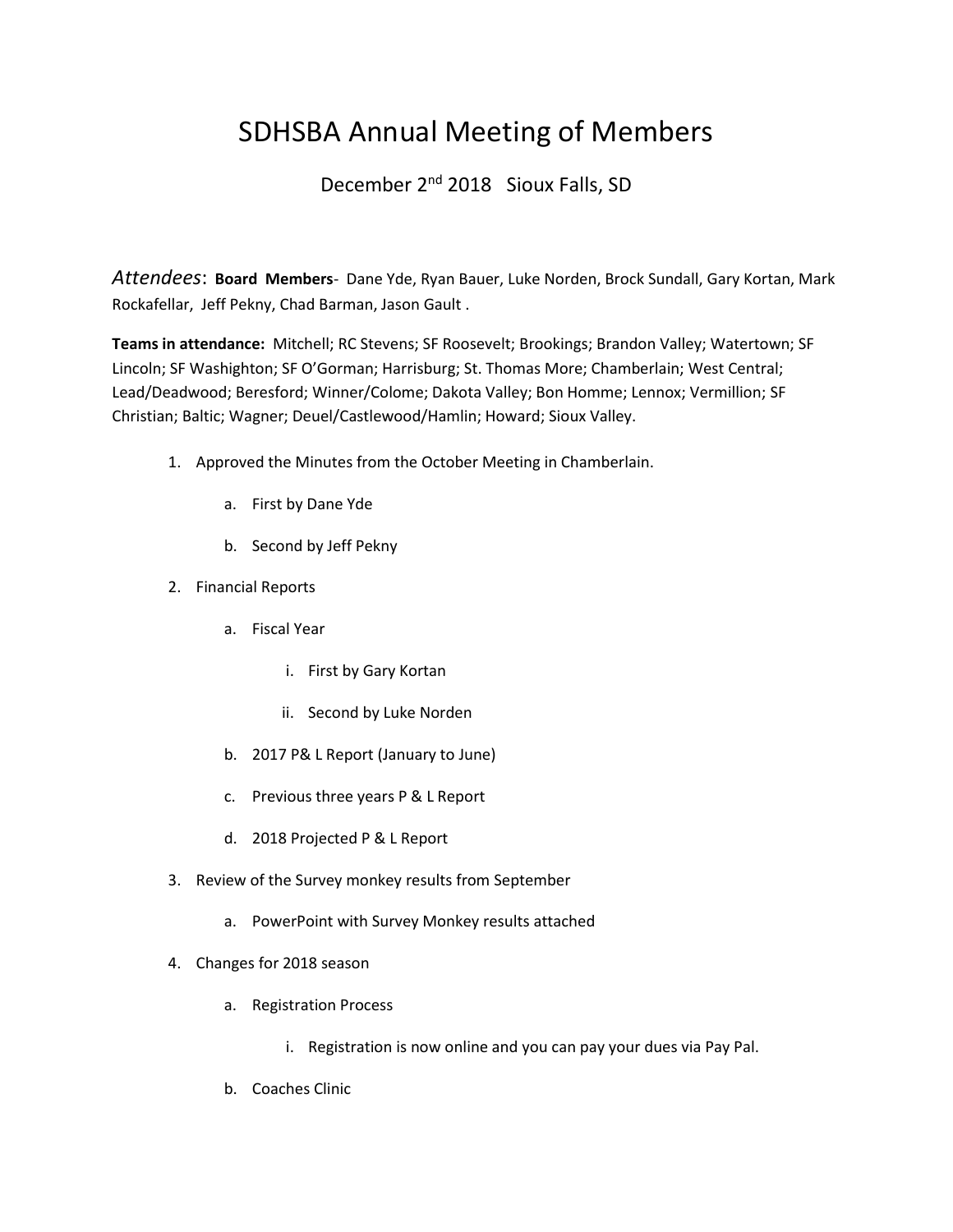## SDHSBA Annual Meeting of Members

## December 2<sup>nd</sup> 2018 Sioux Falls, SD

*Attendees*: **Board Members**- Dane Yde, Ryan Bauer, Luke Norden, Brock Sundall, Gary Kortan, Mark Rockafellar, Jeff Pekny, Chad Barman, Jason Gault .

**Teams in attendance:** Mitchell; RC Stevens; SF Roosevelt; Brookings; Brandon Valley; Watertown; SF Lincoln; SF Washighton; SF O'Gorman; Harrisburg; St. Thomas More; Chamberlain; West Central; Lead/Deadwood; Beresford; Winner/Colome; Dakota Valley; Bon Homme; Lennox; Vermillion; SF Christian; Baltic; Wagner; Deuel/Castlewood/Hamlin; Howard; Sioux Valley.

- 1. Approved the Minutes from the October Meeting in Chamberlain.
	- a. First by Dane Yde
	- b. Second by Jeff Pekny
- 2. Financial Reports
	- a. Fiscal Year
		- i. First by Gary Kortan
		- ii. Second by Luke Norden
	- b. 2017 P& L Report (January to June)
	- c. Previous three years P & L Report
	- d. 2018 Projected P & L Report
- 3. Review of the Survey monkey results from September
	- a. PowerPoint with Survey Monkey results attached
- 4. Changes for 2018 season
	- a. Registration Process
		- i. Registration is now online and you can pay your dues via Pay Pal.
	- b. Coaches Clinic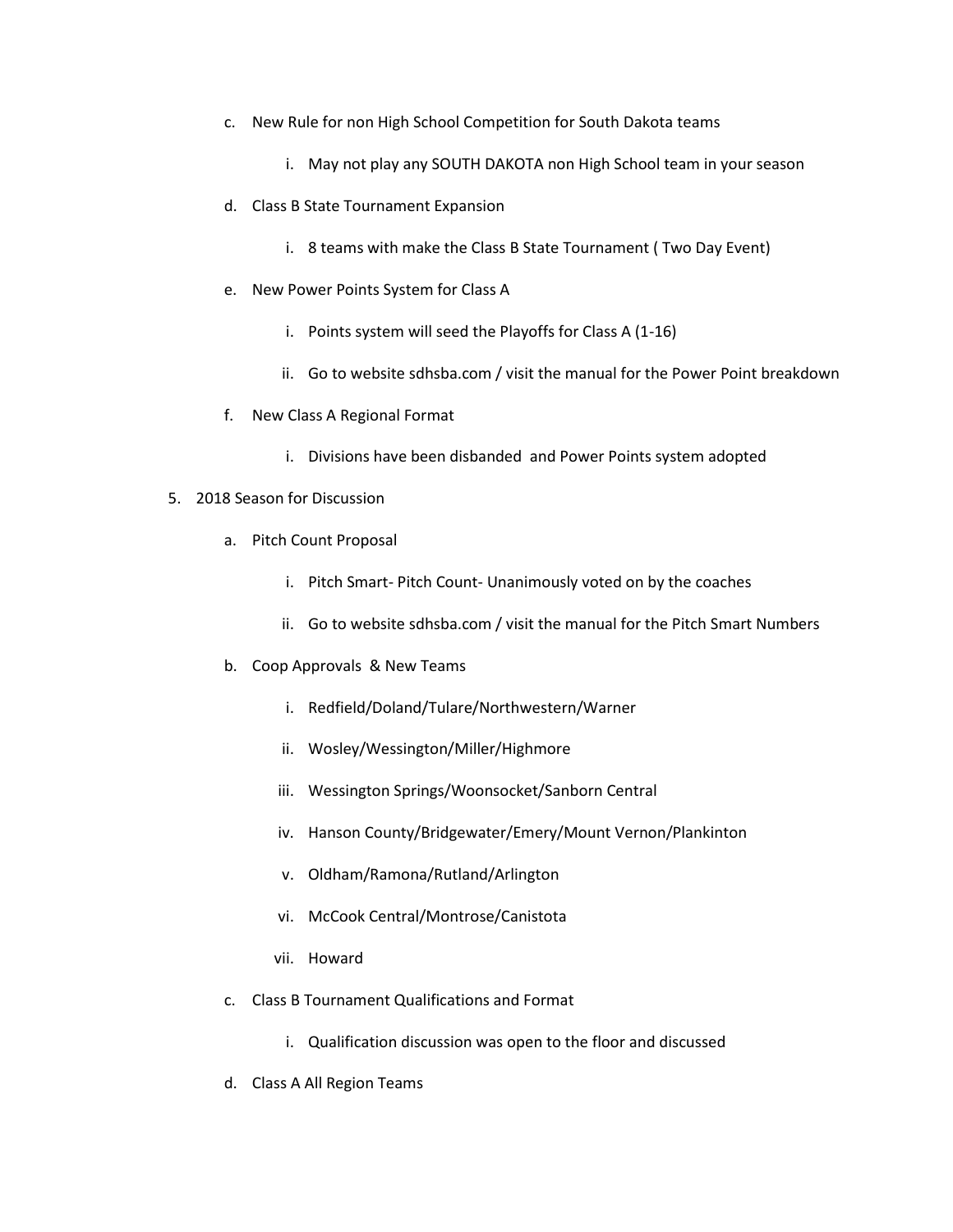- c. New Rule for non High School Competition for South Dakota teams
	- i. May not play any SOUTH DAKOTA non High School team in your season
- d. Class B State Tournament Expansion
	- i. 8 teams with make the Class B State Tournament ( Two Day Event)
- e. New Power Points System for Class A
	- i. Points system will seed the Playoffs for Class A (1-16)
	- ii. Go to website sdhsba.com / visit the manual for the Power Point breakdown
- f. New Class A Regional Format
	- i. Divisions have been disbanded and Power Points system adopted
- 5. 2018 Season for Discussion
	- a. Pitch Count Proposal
		- i. Pitch Smart- Pitch Count- Unanimously voted on by the coaches
		- ii. Go to website sdhsba.com / visit the manual for the Pitch Smart Numbers
	- b. Coop Approvals & New Teams
		- i. Redfield/Doland/Tulare/Northwestern/Warner
		- ii. Wosley/Wessington/Miller/Highmore
		- iii. Wessington Springs/Woonsocket/Sanborn Central
		- iv. Hanson County/Bridgewater/Emery/Mount Vernon/Plankinton
		- v. Oldham/Ramona/Rutland/Arlington
		- vi. McCook Central/Montrose/Canistota
		- vii. Howard
	- c. Class B Tournament Qualifications and Format
		- i. Qualification discussion was open to the floor and discussed
	- d. Class A All Region Teams